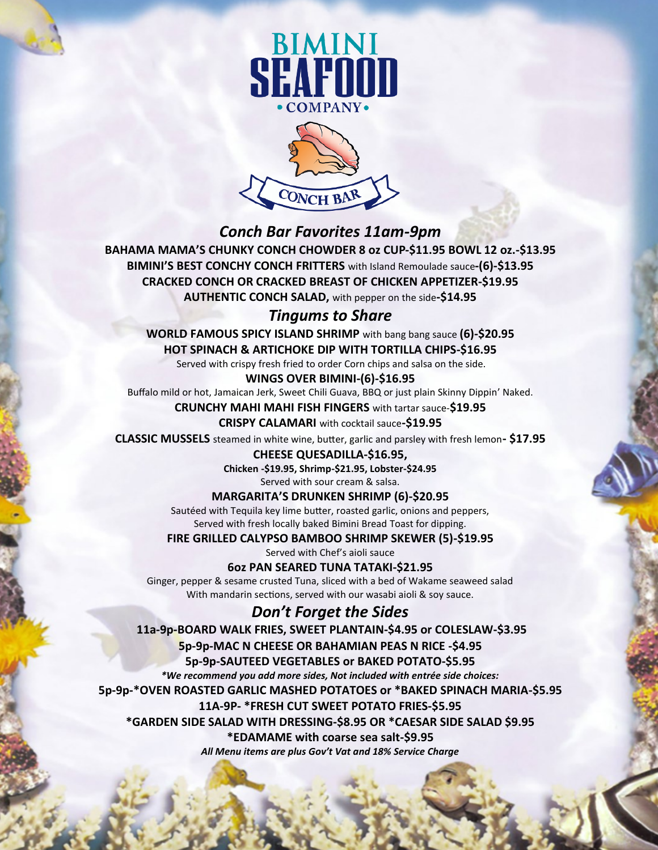



## *Conch Bar Favorites 11am-9pm*

**BAHAMA MAMA'S CHUNKY CONCH CHOWDER 8 oz CUP-\$11.95 BOWL 12 oz.-\$13.95 BIMINI'S BEST CONCHY CONCH FRITTERS** with Island Remoulade sauce**-(6)-\$13.95 CRACKED CONCH OR CRACKED BREAST OF CHICKEN APPETIZER-\$19.95 AUTHENTIC CONCH SALAD,** with pepper on the side**-\$14.95**

## *Tingums to Share*

**WORLD FAMOUS SPICY ISLAND SHRIMP** with bang bang sauce **(6)-\$20.95 HOT SPINACH & ARTICHOKE DIP WITH TORTILLA CHIPS-\$16.95**

Served with crispy fresh fried to order Corn chips and salsa on the side.

### **WINGS OVER BIMINI-(6)-\$16.95**

Buffalo mild or hot, Jamaican Jerk, Sweet Chili Guava, BBQ or just plain Skinny Dippin' Naked.

### **CRUNCHY MAHI MAHI FISH FINGERS** with tartar sauce-**\$19.95**

#### **CRISPY CALAMARI** with cocktail sauce**-\$19.95**

**CLASSIC MUSSELS** steamed in white wine, butter, garlic and parsley with fresh lemon**- \$17.95**

**CHEESE QUESADILLA-\$16.95,** 

**Chicken -\$19.95, Shrimp-\$21.95, Lobster-\$24.95**

Served with sour cream & salsa.

### **MARGARITA'S DRUNKEN SHRIMP (6)-\$20.95**

Sautéed with Tequila key lime butter, roasted garlic, onions and peppers, Served with fresh locally baked Bimini Bread Toast for dipping.

**FIRE GRILLED CALYPSO BAMBOO SHRIMP SKEWER (5)-\$19.95**

Served with Chef's aioli sauce

### **6oz PAN SEARED TUNA TATAKI-\$21.95**

Ginger, pepper & sesame crusted Tuna, sliced with a bed of Wakame seaweed salad With mandarin sections, served with our wasabi aioli & soy sauce.

# *Don't Forget the Sides*

**11a-9p-BOARD WALK FRIES, SWEET PLANTAIN-\$4.95 or COLESLAW-\$3.95 5p-9p-MAC N CHEESE OR BAHAMIAN PEAS N RICE -\$4.95 5p-9p-SAUTEED VEGETABLES or BAKED POTATO-\$5.95** *\*We recommend you add more sides, Not included with entrée side choices:* **5p-9p-\*OVEN ROASTED GARLIC MASHED POTATOES or \*BAKED SPINACH MARIA-\$5.95 11A-9P- \*FRESH CUT SWEET POTATO FRIES-\$5.95 \*GARDEN SIDE SALAD WITH DRESSING-\$8.95 OR \*CAESAR SIDE SALAD \$9.95 \*EDAMAME with coarse sea salt-\$9.95** *All Menu items are plus Gov't Vat and 18% Service Charge*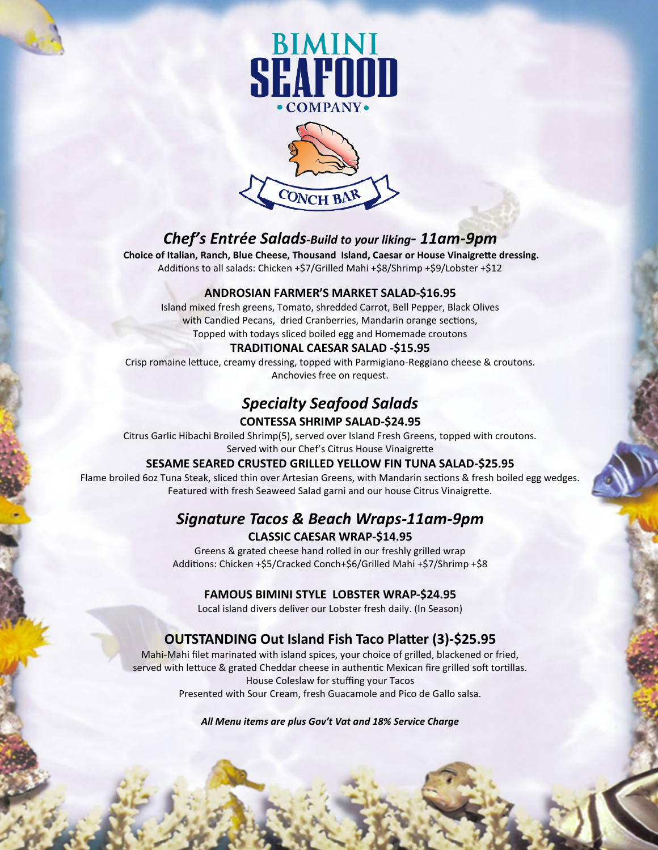



# *Chef's Entrée Salads-Build to your liking- 11am-9pm*

 **Choice of Italian, Ranch, Blue Cheese, Thousand Island, Caesar or House Vinaigrette dressing.** Additions to all salads: Chicken +\$7/Grilled Mahi +\$8/Shrimp +\$9/Lobster +\$12

### **ANDROSIAN FARMER'S MARKET SALAD-\$16.95**

Island mixed fresh greens, Tomato, shredded Carrot, Bell Pepper, Black Olives with Candied Pecans, dried Cranberries, Mandarin orange sections, Topped with todays sliced boiled egg and Homemade croutons

#### **TRADITIONAL CAESAR SALAD -\$15.95**

Crisp romaine lettuce, creamy dressing, topped with Parmigiano-Reggiano cheese & croutons. Anchovies free on request.

# *Specialty Seafood Salads*

### **CONTESSA SHRIMP SALAD-\$24.95**

Citrus Garlic Hibachi Broiled Shrimp(5), served over Island Fresh Greens, topped with croutons. Served with our Chef's Citrus House Vinaigrette

#### **SESAME SEARED CRUSTED GRILLED YELLOW FIN TUNA SALAD-\$25.95**

Flame broiled 6oz Tuna Steak, sliced thin over Artesian Greens, with Mandarin sections & fresh boiled egg wedges. Featured with fresh Seaweed Salad garni and our house Citrus Vinaigrette.

## *Signature Tacos & Beach Wraps-11am-9pm* **CLASSIC CAESAR WRAP-\$14.95**

Greens & grated cheese hand rolled in our freshly grilled wrap Additions: Chicken +\$5/Cracked Conch+\$6/Grilled Mahi +\$7/Shrimp +\$8

#### **FAMOUS BIMINI STYLE LOBSTER WRAP-\$24.95**

Local island divers deliver our Lobster fresh daily. (In Season)

## **OUTSTANDING Out Island Fish Taco Platter (3)-\$25.95**

Mahi-Mahi filet marinated with island spices, your choice of grilled, blackened or fried, served with lettuce & grated Cheddar cheese in authentic Mexican fire grilled soft tortillas. House Coleslaw for stuffing your Tacos Presented with Sour Cream, fresh Guacamole and Pico de Gallo salsa.

*All Menu items are plus Gov't Vat and 18% Service Charge*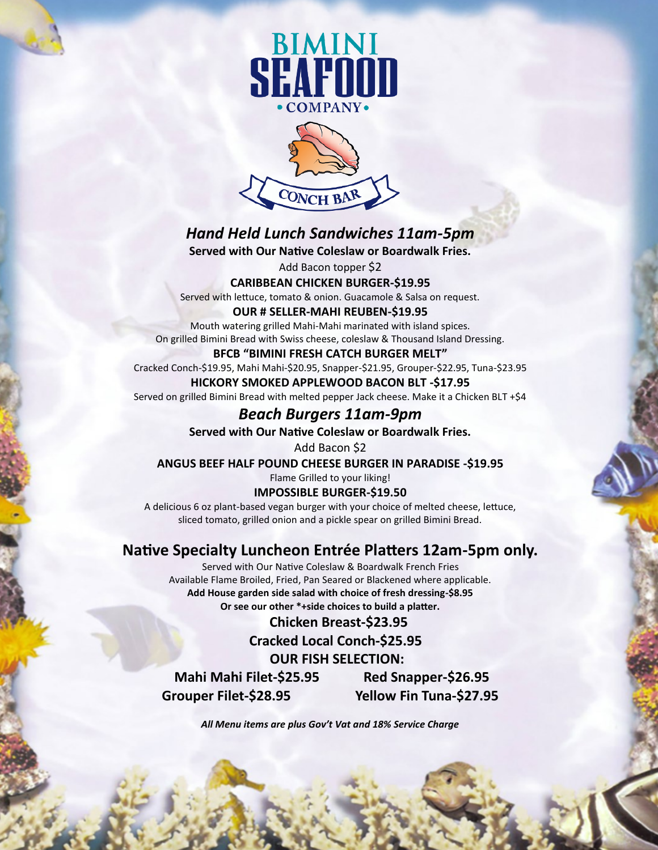



# *Hand Held Lunch Sandwiches 11am-5pm*

**Served with Our Native Coleslaw or Boardwalk Fries.**

Add Bacon topper \$2

### **CARIBBEAN CHICKEN BURGER-\$19.95**

Served with lettuce, tomato & onion. Guacamole & Salsa on request.

#### **OUR # SELLER-MAHI REUBEN-\$19.95**

Mouth watering grilled Mahi-Mahi marinated with island spices. On grilled Bimini Bread with Swiss cheese, coleslaw & Thousand Island Dressing.

### **BFCB "BIMINI FRESH CATCH BURGER MELT"**

Cracked Conch-\$19.95, Mahi Mahi-\$20.95, Snapper-\$21.95, Grouper-\$22.95, Tuna-\$23.95

#### **HICKORY SMOKED APPLEWOOD BACON BLT -\$17.95**

Served on grilled Bimini Bread with melted pepper Jack cheese. Make it a Chicken BLT +\$4

## *Beach Burgers 11am-9pm*

**Served with Our Native Coleslaw or Boardwalk Fries.**

# Add Bacon \$2

**ANGUS BEEF HALF POUND CHEESE BURGER IN PARADISE -\$19.95**

Flame Grilled to your liking!

### **IMPOSSIBLE BURGER-\$19.50**

A delicious 6 oz plant-based vegan burger with your choice of melted cheese, lettuce, sliced tomato, grilled onion and a pickle spear on grilled Bimini Bread.

## **Native Specialty Luncheon Entrée Platters 12am-5pm only.**

Served with Our Native Coleslaw & Boardwalk French Fries Available Flame Broiled, Fried, Pan Seared or Blackened where applicable. **Add House garden side salad with choice of fresh dressing-\$8.95 Or see our other \*+side choices to build a platter.**

 **Chicken Breast-\$23.95 Cracked Local Conch-\$25.95 OUR FISH SELECTION: Mahi Mahi Filet-\$25.95 Red Snapper-\$26.95**

**Grouper Filet-\$28.95 Yellow Fin Tuna-\$27.95** 

*All Menu items are plus Gov't Vat and 18% Service Charge*